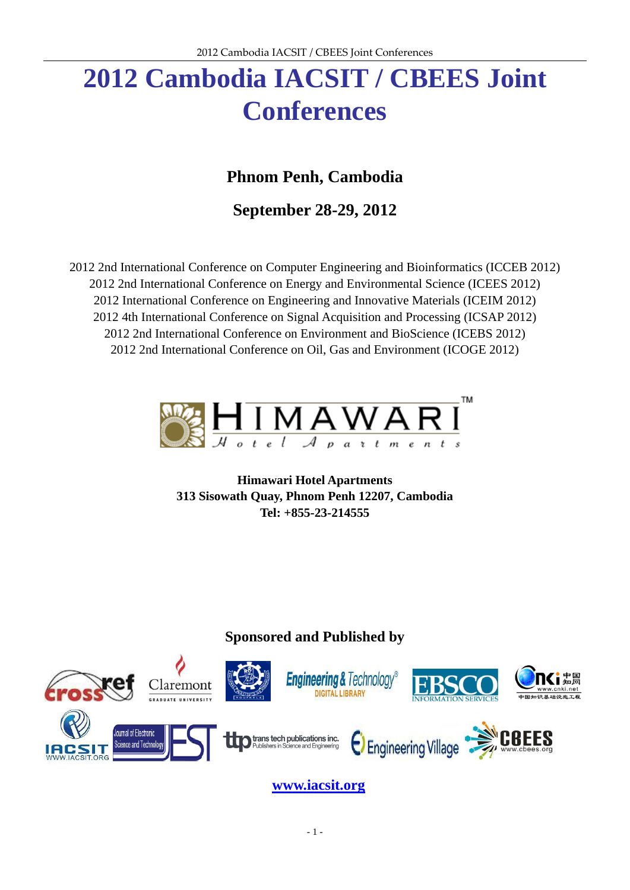# **2012 Cambodia IACSIT / CBEES Joint Conferences**

## **Phnom Penh, Cambodia**

**September 28-29, 2012**

2012 2nd International Conference on Computer Engineering and Bioinformatics (ICCEB 2012) 2012 2nd International Conference on Energy and Environmental Science (ICEES 2012) 2012 International Conference on Engineering and Innovative Materials (ICEIM 2012) 2012 4th International Conference on Signal Acquisition and Processing (ICSAP 2012) 2012 2nd International Conference on Environment and BioScience (ICEBS 2012) 2012 2nd International Conference on Oil, Gas and Environment (ICOGE 2012)



**Himawari Hotel Apartments 313 Sisowath Quay, Phnom Penh 12207, Cambodia Tel: +855-23-214555**

### **Sponsored and Published by**



**[www.iacsit.org](http://www.iacsit.org/)**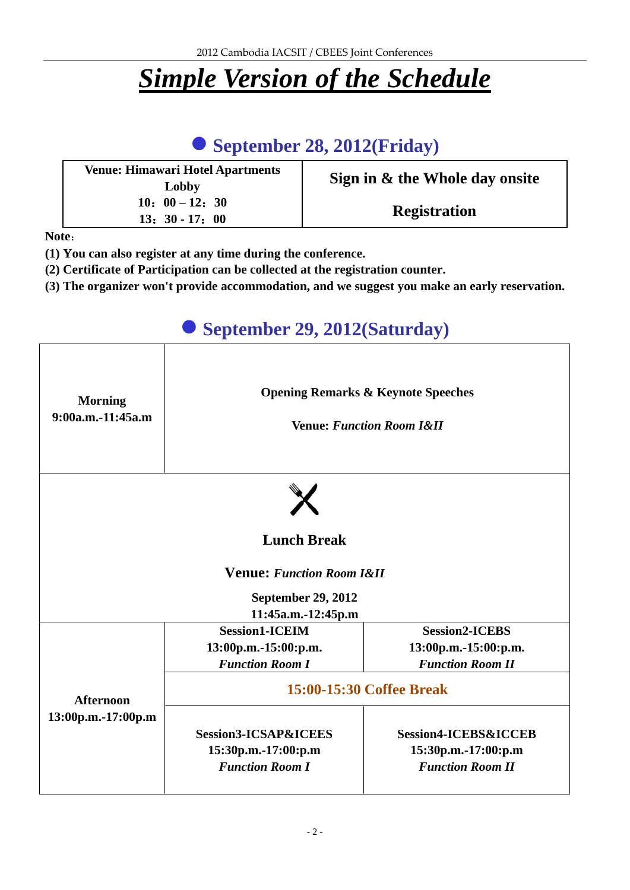# *Simple Version of the Schedule*

# **September 28, 2012(Friday)**

| <b>Venue: Himawari Hotel Apartments</b><br>Lobby | Sign in & the Whole day onsite |
|--------------------------------------------------|--------------------------------|
| $10: 00-12: 30$<br>$13: 30 - 17: 00$             | <b>Registration</b>            |

**Note**:

- **(1) You can also register at any time during the conference.**
- **(2) Certificate of Participation can be collected at the registration counter.**
- **(3) The organizer won't provide accommodation, and we suggest you make an early reservation.**

## **September 29, 2012(Saturday) Morning 9:00a.m.-11:45a.m Opening Remarks & Keynote Speeches Venue:** *Function Room I&II* **Lunch Break Venue:** *Function Room I&II* **September 29, 2012 11:45a.m.-12:45p.m Afternoon 13:00p.m.-17:00p.m Session1-ICEIM 13:00p.m.-15:00:p.m.** *Function Room I* **Session2-ICEBS 13:00p.m.-15:00:p.m.** *Function Room II* **15:00-15:30 Coffee Break Session3-ICSAP&ICEES 15:30p.m.-17:00:p.m** *Function Room I* **Session4-ICEBS&ICCEB 15:30p.m.-17:00:p.m** *Function Room II*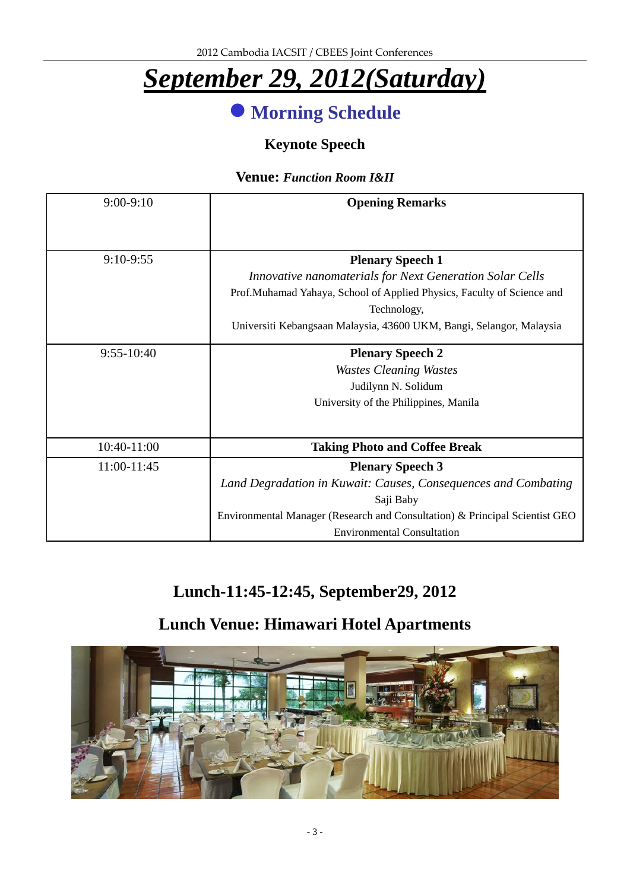# *September 29, 2012(Saturday)*

# **Morning Schedule**

### **Keynote Speech**

### **Venue:** *Function Room I&II*

| $9:00-9:10$    | <b>Opening Remarks</b>                                                      |
|----------------|-----------------------------------------------------------------------------|
|                |                                                                             |
| $9:10-9:55$    | <b>Plenary Speech 1</b>                                                     |
|                | Innovative nanomaterials for Next Generation Solar Cells                    |
|                | Prof.Muhamad Yahaya, School of Applied Physics, Faculty of Science and      |
|                | Technology,                                                                 |
|                | Universiti Kebangsaan Malaysia, 43600 UKM, Bangi, Selangor, Malaysia        |
| $9:55 - 10:40$ | <b>Plenary Speech 2</b>                                                     |
|                | <b>Wastes Cleaning Wastes</b>                                               |
|                | Judilynn N. Solidum                                                         |
|                | University of the Philippines, Manila                                       |
|                |                                                                             |
| 10:40-11:00    | <b>Taking Photo and Coffee Break</b>                                        |
| 11:00-11:45    | <b>Plenary Speech 3</b>                                                     |
|                | Land Degradation in Kuwait: Causes, Consequences and Combating              |
|                | Saji Baby                                                                   |
|                | Environmental Manager (Research and Consultation) & Principal Scientist GEO |
|                | <b>Environmental Consultation</b>                                           |

# **Lunch-11:45-12:45, September29, 2012**

# **Lunch Venue: Himawari Hotel Apartments**

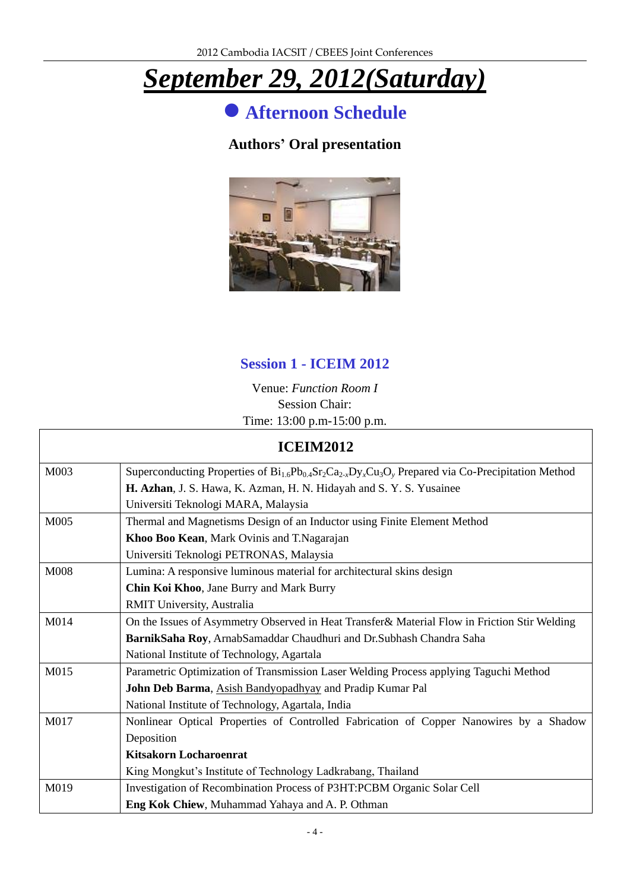# *September 29, 2012(Saturday)*

**Afternoon Schedule**

### **Authors' Oral presentation**



### **Session 1 - ICEIM 2012**

Venue: *Function Room I* Session Chair: Time: 13:00 p.m-15:00 p.m.

| <b>ICEIM2012</b> |                                                                                                              |
|------------------|--------------------------------------------------------------------------------------------------------------|
| M003             | Superconducting Properties of $Bi_{1.6}Pb_{0.4}Sr_2Ca_{2.4}Dy_xCu_3O_y$ Prepared via Co-Precipitation Method |
|                  | H. Azhan, J. S. Hawa, K. Azman, H. N. Hidayah and S. Y. S. Yusainee                                          |
|                  | Universiti Teknologi MARA, Malaysia                                                                          |
| M005             | Thermal and Magnetisms Design of an Inductor using Finite Element Method                                     |
|                  | Khoo Boo Kean, Mark Ovinis and T.Nagarajan                                                                   |
|                  | Universiti Teknologi PETRONAS, Malaysia                                                                      |
| M008             | Lumina: A responsive luminous material for architectural skins design                                        |
|                  | Chin Koi Khoo, Jane Burry and Mark Burry                                                                     |
|                  | RMIT University, Australia                                                                                   |
| M014             | On the Issues of Asymmetry Observed in Heat Transfer & Material Flow in Friction Stir Welding                |
|                  | BarnikSaha Roy, ArnabSamaddar Chaudhuri and Dr.Subhash Chandra Saha                                          |
|                  | National Institute of Technology, Agartala                                                                   |
| M015             | Parametric Optimization of Transmission Laser Welding Process applying Taguchi Method                        |
|                  | John Deb Barma, Asish Bandyopadhyay and Pradip Kumar Pal                                                     |
|                  | National Institute of Technology, Agartala, India                                                            |
| M017             | Nonlinear Optical Properties of Controlled Fabrication of Copper Nanowires by a Shadow                       |
|                  | Deposition                                                                                                   |
|                  | <b>Kitsakorn Locharoenrat</b>                                                                                |
|                  | King Mongkut's Institute of Technology Ladkrabang, Thailand                                                  |
| M019             | Investigation of Recombination Process of P3HT:PCBM Organic Solar Cell                                       |
|                  | Eng Kok Chiew, Muhammad Yahaya and A. P. Othman                                                              |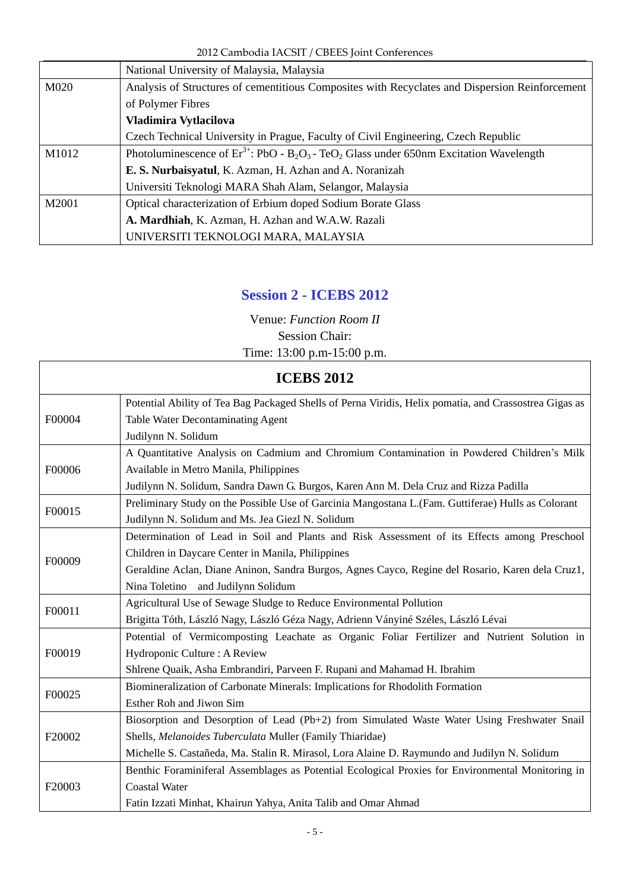2012 Cambodia IACSIT / CBEES Joint Conferences

|       | National University of Malaysia, Malaysia                                                                                       |  |
|-------|---------------------------------------------------------------------------------------------------------------------------------|--|
| M020  | Analysis of Structures of cementitious Composites with Recyclates and Dispersion Reinforcement                                  |  |
|       | of Polymer Fibres                                                                                                               |  |
|       | Vladimira Vytlacilova                                                                                                           |  |
|       | Czech Technical University in Prague, Faculty of Civil Engineering, Czech Republic                                              |  |
| M1012 | Photoluminescence of $Er^{3+}$ : PbO - B <sub>2</sub> O <sub>3</sub> - TeO <sub>2</sub> Glass under 650nm Excitation Wavelength |  |
|       | E. S. Nurbaisyatul, K. Azman, H. Azhan and A. Noranizah                                                                         |  |
|       | Universiti Teknologi MARA Shah Alam, Selangor, Malaysia                                                                         |  |
| M2001 | Optical characterization of Erbium doped Sodium Borate Glass                                                                    |  |
|       | A. Mardhiah, K. Azman, H. Azhan and W.A.W. Razali                                                                               |  |
|       | UNIVERSITI TEKNOLOGI MARA, MALAYSIA                                                                                             |  |

### **Session 2 - ICEBS 2012**

Venue: *Function Room II* Session Chair: Time: 13:00 p.m-15:00 p.m.

| F00004 | Potential Ability of Tea Bag Packaged Shells of Perna Viridis, Helix pomatia, and Crassostrea Gigas as |
|--------|--------------------------------------------------------------------------------------------------------|
|        | <b>Table Water Decontaminating Agent</b>                                                               |
|        | Judilynn N. Solidum                                                                                    |
|        | A Quantitative Analysis on Cadmium and Chromium Contamination in Powdered Children's Milk              |
| F00006 | Available in Metro Manila, Philippines                                                                 |
|        | Judilynn N. Solidum, Sandra Dawn G. Burgos, Karen Ann M. Dela Cruz and Rizza Padilla                   |
| F00015 | Preliminary Study on the Possible Use of Garcinia Mangostana L.(Fam. Guttiferae) Hulls as Colorant     |
|        | Judilynn N. Solidum and Ms. Jea Giezl N. Solidum                                                       |
|        | Determination of Lead in Soil and Plants and Risk Assessment of its Effects among Preschool            |
| F00009 | Children in Daycare Center in Manila, Philippines                                                      |
|        | Geraldine Aclan, Diane Aninon, Sandra Burgos, Agnes Cayco, Regine del Rosario, Karen dela Cruz1,       |
|        | Nina Toletino and Judilynn Solidum                                                                     |
|        | Agricultural Use of Sewage Sludge to Reduce Environmental Pollution                                    |
| F00011 | Brigitta Táth, László Nagy, László Géza Nagy, Adrienn Ványin é Széles, László Lévai                    |
|        | Potential of Vermicomposting Leachate as Organic Foliar Fertilizer and Nutrient Solution in            |
| F00019 | Hydroponic Culture: A Review                                                                           |
|        | Shlrene Quaik, Asha Embrandiri, Parveen F. Rupani and Mahamad H. Ibrahim                               |
|        | Biomineralization of Carbonate Minerals: Implications for Rhodolith Formation                          |
| F00025 | Esther Roh and Jiwon Sim                                                                               |
| F20002 | Biosorption and Desorption of Lead (Pb+2) from Simulated Waste Water Using Freshwater Snail            |
|        | Shells, Melanoides Tuberculata Muller (Family Thiaridae)                                               |
|        | Michelle S. Casta reda, Ma. Stalin R. Mirasol, Lora Alaine D. Raymundo and Judilyn N. Solidum          |
| F20003 | Benthic Foraminiferal Assemblages as Potential Ecological Proxies for Environmental Monitoring in      |
|        | <b>Coastal Water</b>                                                                                   |
|        | Fatin Izzati Minhat, Khairun Yahya, Anita Talib and Omar Ahmad                                         |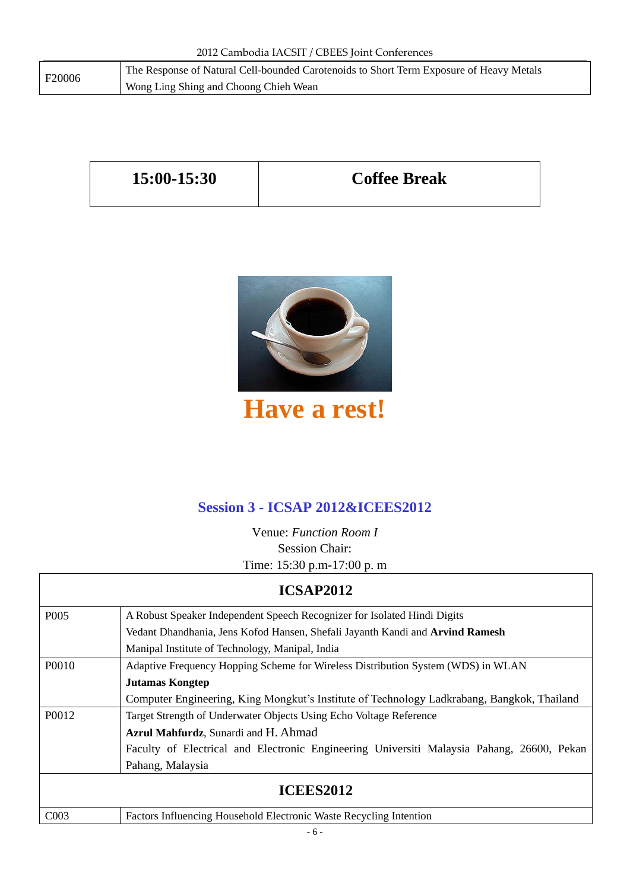| F20006 | The Response of Natural Cell-bounded Carotenoids to Short Term Exposure of Heavy Metals |
|--------|-----------------------------------------------------------------------------------------|
|        | Wong Ling Shing and Choong Chieh Wean                                                   |

| $15:00-15:30$ | <b>Coffee Break</b> |
|---------------|---------------------|
|---------------|---------------------|



# **Have a rest!**

## **Session 3 - ICSAP 2012&ICEES2012**

Venue: *Function Room I* Session Chair: Time: 15:30 p.m-17:00 p. m

|                  | <b>ICSAP2012</b>                                                                           |
|------------------|--------------------------------------------------------------------------------------------|
| P <sub>005</sub> | A Robust Speaker Independent Speech Recognizer for Isolated Hindi Digits                   |
|                  | Vedant Dhandhania, Jens Kofod Hansen, Shefali Jayanth Kandi and Arvind Ramesh              |
|                  | Manipal Institute of Technology, Manipal, India                                            |
| P0010            | Adaptive Frequency Hopping Scheme for Wireless Distribution System (WDS) in WLAN           |
|                  | <b>Jutamas Kongtep</b>                                                                     |
|                  | Computer Engineering, King Mongkut's Institute of Technology Ladkrabang, Bangkok, Thailand |
| P0012            | Target Strength of Underwater Objects Using Echo Voltage Reference                         |
|                  | Azrul Mahfurdz, Sunardi and H. Ahmad                                                       |
|                  | Faculty of Electrical and Electronic Engineering Universiti Malaysia Pahang, 26600, Pekan  |
|                  | Pahang, Malaysia                                                                           |
| <b>ICEES2012</b> |                                                                                            |
| CO <sub>03</sub> | Factors Influencing Household Electronic Waste Recycling Intention                         |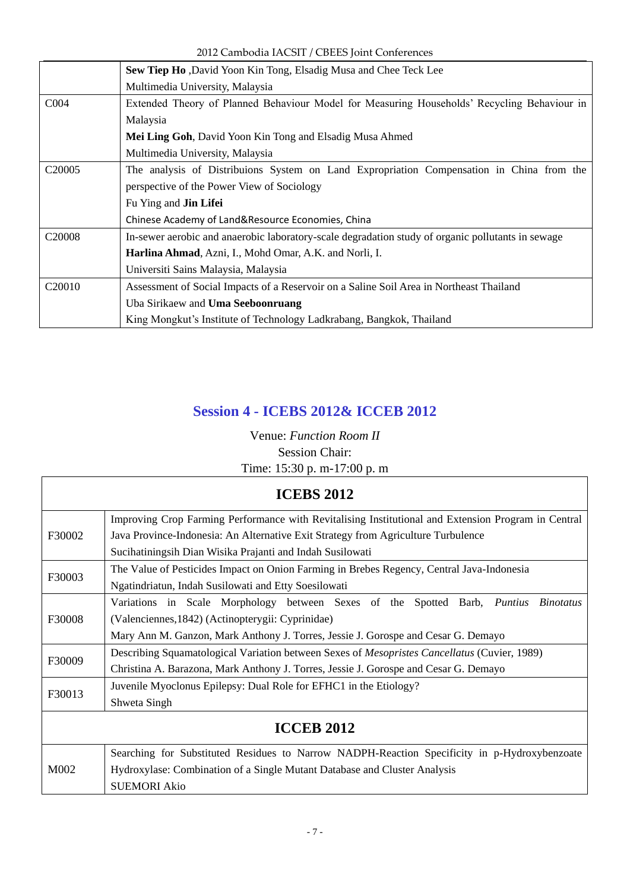2012 Cambodia IACSIT / CBEES Joint Conferences

|                    | <b>Sew Tiep Ho</b> , David Yoon Kin Tong, Elsadig Musa and Chee Teck Lee                          |
|--------------------|---------------------------------------------------------------------------------------------------|
|                    | Multimedia University, Malaysia                                                                   |
| C <sub>004</sub>   | Extended Theory of Planned Behaviour Model for Measuring Households' Recycling Behaviour in       |
|                    | Malaysia                                                                                          |
|                    | Mei Ling Goh, David Yoon Kin Tong and Elsadig Musa Ahmed                                          |
|                    | Multimedia University, Malaysia                                                                   |
| C <sub>20005</sub> | The analysis of Distribuions System on Land Expropriation Compensation in China from the          |
|                    | perspective of the Power View of Sociology                                                        |
|                    | Fu Ying and <b>Jin Lifei</b>                                                                      |
|                    | Chinese Academy of Land&Resource Economies, China                                                 |
| C <sub>20008</sub> | In-sewer aerobic and anaerobic laboratory-scale degradation study of organic pollutants in sewage |
|                    | Harlina Ahmad, Azni, I., Mohd Omar, A.K. and Norli, I.                                            |
|                    | Universiti Sains Malaysia, Malaysia                                                               |
| C <sub>20010</sub> | Assessment of Social Impacts of a Reservoir on a Saline Soil Area in Northeast Thailand           |
|                    | Uba Sirikaew and <b>Uma Seeboonruang</b>                                                          |
|                    | King Mongkut's Institute of Technology Ladkrabang, Bangkok, Thailand                              |

## **Session 4 - ICEBS 2012& ICCEB 2012**

Venue: *Function Room II* Session Chair: Time: 15:30 p. m-17:00 p. m

| <b>ICEBS 2012</b> |                                                                                                     |
|-------------------|-----------------------------------------------------------------------------------------------------|
| F30002            | Improving Crop Farming Performance with Revitalising Institutional and Extension Program in Central |
|                   | Java Province-Indonesia: An Alternative Exit Strategy from Agriculture Turbulence                   |
|                   | Sucihatiningsih Dian Wisika Prajanti and Indah Susilowati                                           |
| F30003            | The Value of Pesticides Impact on Onion Farming in Brebes Regency, Central Java-Indonesia           |
|                   | Ngatindriatun, Indah Susilowati and Etty Soesilowati                                                |
|                   | Variations in Scale Morphology between Sexes of the Spotted Barb, Puntius<br><i>Binotatus</i>       |
| F30008            | (Valenciennes, 1842) (Actinopterygii: Cyprinidae)                                                   |
|                   | Mary Ann M. Ganzon, Mark Anthony J. Torres, Jessie J. Gorospe and Cesar G. Demayo                   |
|                   | Describing Squamatological Variation between Sexes of <i>Mesopristes Cancellatus</i> (Cuvier, 1989) |
| F30009            | Christina A. Barazona, Mark Anthony J. Torres, Jessie J. Gorospe and Cesar G. Demayo                |
| F30013            | Juvenile Myoclonus Epilepsy: Dual Role for EFHC1 in the Etiology?                                   |
|                   | Shweta Singh                                                                                        |
| <b>ICCEB 2012</b> |                                                                                                     |
| M002              | Searching for Substituted Residues to Narrow NADPH-Reaction Specificity in p-Hydroxybenzoate        |
|                   | Hydroxylase: Combination of a Single Mutant Database and Cluster Analysis                           |
|                   | <b>SUEMORI Akio</b>                                                                                 |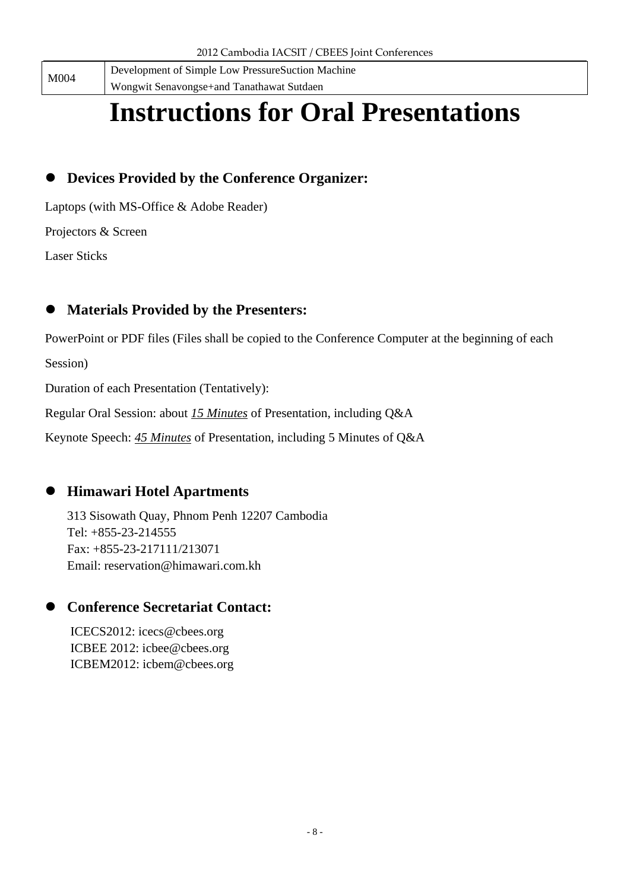M004

Development of Simple Low PressureSuction Machine Wongwit Senavongse+and Tanathawat Sutdaen

# **Instructions for Oral Presentations**

## **Devices Provided by the Conference Organizer:**

Laptops (with MS-Office & Adobe Reader)

Projectors & Screen

Laser Sticks

## **Materials Provided by the Presenters:**

PowerPoint or PDF files (Files shall be copied to the Conference Computer at the beginning of each

Session)

Duration of each Presentation (Tentatively):

Regular Oral Session: about *15 Minutes* of Presentation, including Q&A

Keynote Speech: *45 Minutes* of Presentation, including 5 Minutes of Q&A

## **Himawari Hotel Apartments**

313 Sisowath Quay, Phnom Penh 12207 Cambodia Tel: +855-23-214555 Fax: +855-23-217111/213071 Email: reservation@himawari.com.kh

## **Conference Secretariat Contact:**

ICECS2012: icecs@cbees.org ICBEE 2012: icbee@cbees.org ICBEM2012: icbem@cbees.org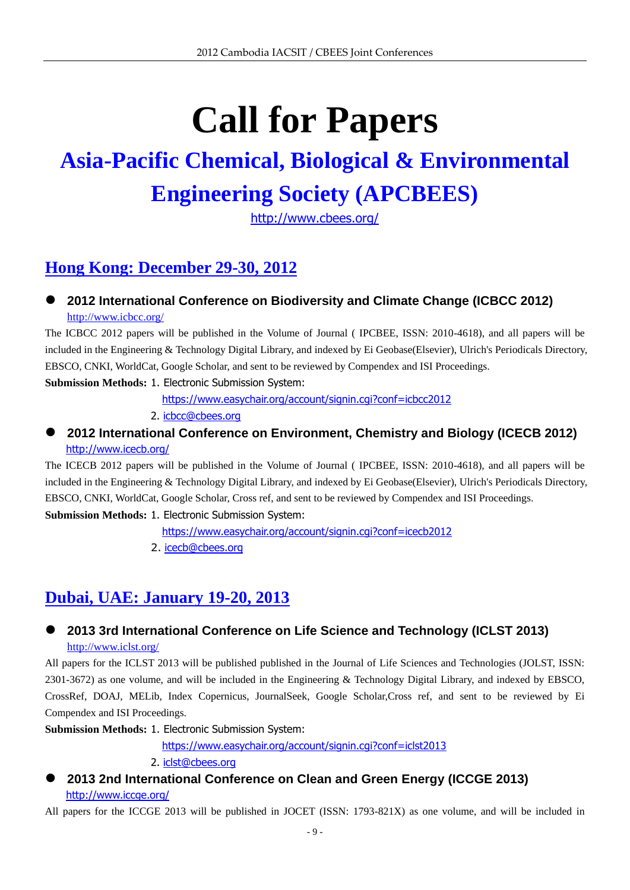# **Call for Papers**

# **Asia-Pacific Chemical, Biological & Environmental Engineering Society (APCBEES)**

<http://www.cbees.org/>

# **Hong Kong: December 29-30, 2012**

### **2012 International Conference on Biodiversity and Climate Change (ICBCC 2012)** <http://www.icbcc.org/>

The ICBCC 2012 papers will be published in the Volume of Journal ( IPCBEE, ISSN: 2010-4618), and all papers will be included in the Engineering & Technology Digital Library, and indexed by Ei Geobase(Elsevier), Ulrich's Periodicals Directory, EBSCO, CNKI, WorldCat, Google Scholar, and sent to be reviewed by Compendex and ISI Proceedings.

**Submission Methods:** 1. Electronic Submission System:

<https://www.easychair.org/account/signin.cgi?conf=icbcc2012>

2. [icbcc@cbees.org](mailto:icbcc@cbees.org)

### **2012 International Conference on Environment, Chemistry and Biology (ICECB 2012)** <http://www.icecb.org/>

The ICECB 2012 papers will be published in the Volume of Journal ( IPCBEE, ISSN: 2010-4618), and all papers will be included in the Engineering & Technology Digital Library, and indexed by Ei Geobase(Elsevier), Ulrich's Periodicals Directory, EBSCO, CNKI, WorldCat, Google Scholar, Cross ref, and sent to be reviewed by Compendex and ISI Proceedings. **Submission Methods:** 1. Electronic Submission System:

<https://www.easychair.org/account/signin.cgi?conf=icecb2012>

2. [icecb@cbees.org](mailto:icecb@cbees.org)

## **Dubai, UAE: January 19-20, 2013**

### **2013 3rd International Conference on Life Science and Technology (ICLST 2013)** <http://www.iclst.org/>

All papers for the ICLST 2013 will be published published in the Journal of Life Sciences and Technologies (JOLST, ISSN: 2301-3672) as one volume, and will be included in the Engineering & Technology Digital Library, and indexed by EBSCO, CrossRef, DOAJ, MELib, Index Copernicus, JournalSeek, Google Scholar,Cross ref, and sent to be reviewed by Ei Compendex and ISI Proceedings.

**Submission Methods:** 1. Electronic Submission System:

<https://www.easychair.org/account/signin.cgi?conf=iclst2013>

2. [iclst@cbees.org](mailto:iclst@cbees.org)

### **2013 2nd International Conference on Clean and Green Energy (ICCGE 2013)** <http://www.iccge.org/>

All papers for the ICCGE 2013 will be published in JOCET (ISSN: 1793-821X) as one volume, and will be included in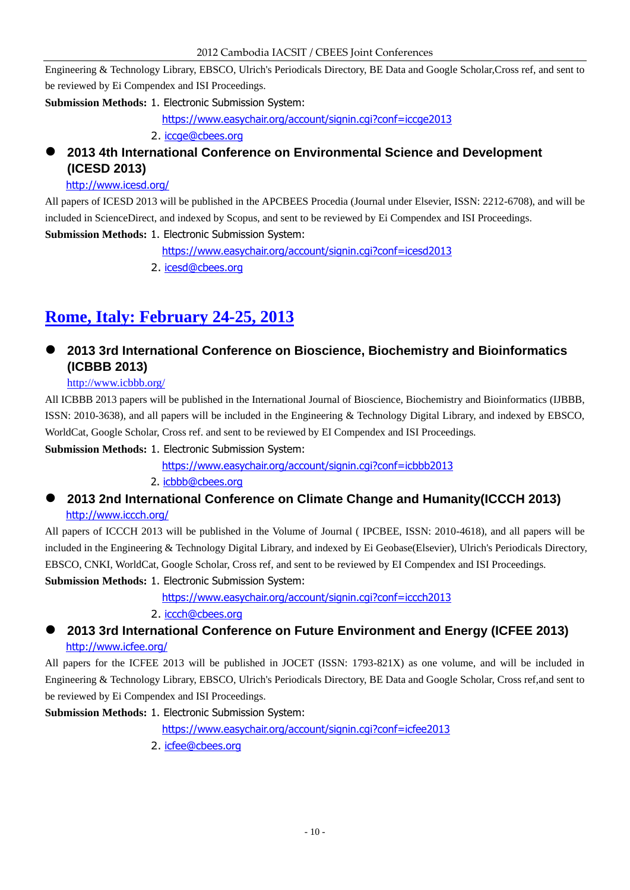Engineering & Technology Library, EBSCO, Ulrich's Periodicals Directory, BE Data and Google Scholar,Cross ref, and sent to be reviewed by Ei Compendex and ISI Proceedings.

### **Submission Methods:** 1. Electronic Submission System:

<https://www.easychair.org/account/signin.cgi?conf=iccge2013>

2. [iccge@cbees.org](mailto:iccge@cbees.org)

### **2013 4th International Conference on Environmental Science and Development (ICESD 2013)**

### <http://www.icesd.org/>

All papers of ICESD 2013 will be published in the APCBEES Procedia (Journal under Elsevier, ISSN: 2212-6708), and will be included in ScienceDirect, and indexed by Scopus, and sent to be reviewed by Ei Compendex and ISI Proceedings. **Submission Methods:** 1. Electronic Submission System:

<https://www.easychair.org/account/signin.cgi?conf=icesd2013>

2. [icesd@cbees.org](mailto:icesd@cbees.org)

# **Rome, Italy: February 24-25, 2013**

### **2013 3rd International Conference on Bioscience, Biochemistry and Bioinformatics (ICBBB 2013)**

### <http://www.icbbb.org/>

All ICBBB 2013 papers will be published in the International Journal of Bioscience, Biochemistry and Bioinformatics (IJBBB, ISSN: 2010-3638), and all papers will be included in the Engineering & Technology Digital Library, and indexed by EBSCO, WorldCat, Google Scholar, Cross ref. and sent to be reviewed by EI Compendex and ISI Proceedings.

**Submission Methods:** 1. Electronic Submission System:

<https://www.easychair.org/account/signin.cgi?conf=icbbb2013>

### 2. [icbbb@cbees.org](mailto:icbbb@cbees.org)

### **2013 2nd International Conference on Climate Change and Humanity(ICCCH 2013)** <http://www.iccch.org/>

All papers of ICCCH 2013 will be published in the Volume of Journal ( IPCBEE, ISSN: 2010-4618), and all papers will be included in the Engineering & Technology Digital Library, and indexed by Ei Geobase(Elsevier), Ulrich's Periodicals Directory, EBSCO, CNKI, WorldCat, Google Scholar, Cross ref, and sent to be reviewed by EI Compendex and ISI Proceedings.

### **Submission Methods:** 1. Electronic Submission System:

<https://www.easychair.org/account/signin.cgi?conf=iccch2013>

### 2. [iccch@cbees.org](mailto:iccch@cbees.org)

 **2013 3rd International Conference on Future Environment and Energy (ICFEE 2013)** <http://www.icfee.org/>

All papers for the ICFEE 2013 will be published in JOCET (ISSN: 1793-821X) as one volume, and will be included in Engineering & Technology Library, EBSCO, Ulrich's Periodicals Directory, BE Data and Google Scholar, Cross ref,and sent to be reviewed by Ei Compendex and ISI Proceedings.

### **Submission Methods:** 1. Electronic Submission System:

<https://www.easychair.org/account/signin.cgi?conf=icfee2013>

2. [icfee@cbees.org](mailto:icfee@cbees.org)